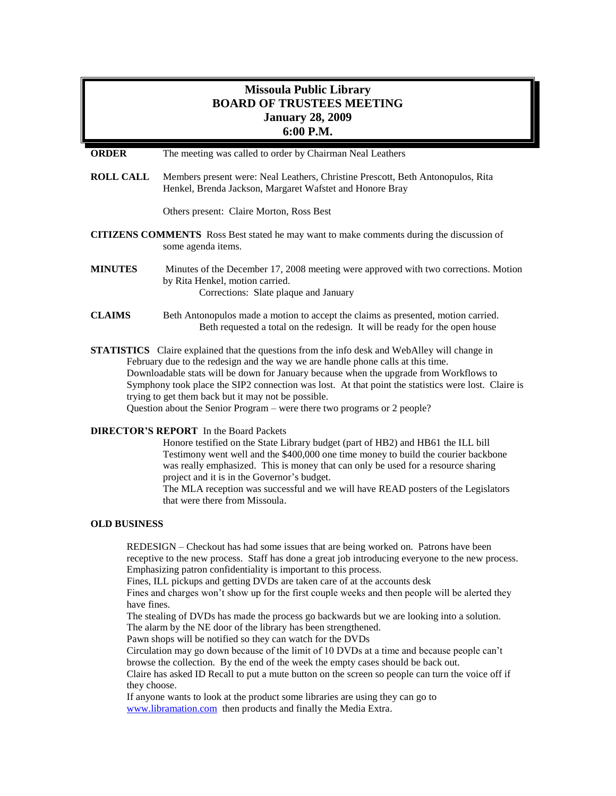# **Missoula Public Library BOARD OF TRUSTEES MEETING January 28, 2009 6:00 P.M.**

**ORDER** The meeting was called to order by Chairman Neal Leathers

**ROLL CALL** Members present were: Neal Leathers, Christine Prescott, Beth Antonopulos, Rita Henkel, Brenda Jackson, Margaret Wafstet and Honore Bray

Others present: Claire Morton, Ross Best

- **CITIZENS COMMENTS** Ross Best stated he may want to make comments during the discussion of some agenda items.
- **MINUTES** Minutes of the December 17, 2008 meeting were approved with two corrections. Motion by Rita Henkel, motion carried. Corrections: Slate plaque and January
- **CLAIMS** Beth Antonopulos made a motion to accept the claims as presented, motion carried. Beth requested a total on the redesign. It will be ready for the open house

**STATISTICS** Claire explained that the questions from the info desk and WebAlley will change in February due to the redesign and the way we are handle phone calls at this time. Downloadable stats will be down for January because when the upgrade from Workflows to Symphony took place the SIP2 connection was lost. At that point the statistics were lost. Claire is trying to get them back but it may not be possible. Question about the Senior Program – were there two programs or 2 people?

## **DIRECTOR'S REPORT** In the Board Packets

Honore testified on the State Library budget (part of HB2) and HB61 the ILL bill Testimony went well and the \$400,000 one time money to build the courier backbone was really emphasized. This is money that can only be used for a resource sharing project and it is in the Governor's budget.

The MLA reception was successful and we will have READ posters of the Legislators that were there from Missoula.

#### **OLD BUSINESS**

REDESIGN – Checkout has had some issues that are being worked on. Patrons have been receptive to the new process. Staff has done a great job introducing everyone to the new process. Emphasizing patron confidentiality is important to this process.

Fines, ILL pickups and getting DVDs are taken care of at the accounts desk

Fines and charges won't show up for the first couple weeks and then people will be alerted they have fines.

The stealing of DVDs has made the process go backwards but we are looking into a solution. The alarm by the NE door of the library has been strengthened.

Pawn shops will be notified so they can watch for the DVDs

Circulation may go down because of the limit of 10 DVDs at a time and because people can't browse the collection. By the end of the week the empty cases should be back out.

Claire has asked ID Recall to put a mute button on the screen so people can turn the voice off if they choose.

If anyone wants to look at the product some libraries are using they can go to [www.libramation.com](http://www.libramation.com/) then products and finally the Media Extra.